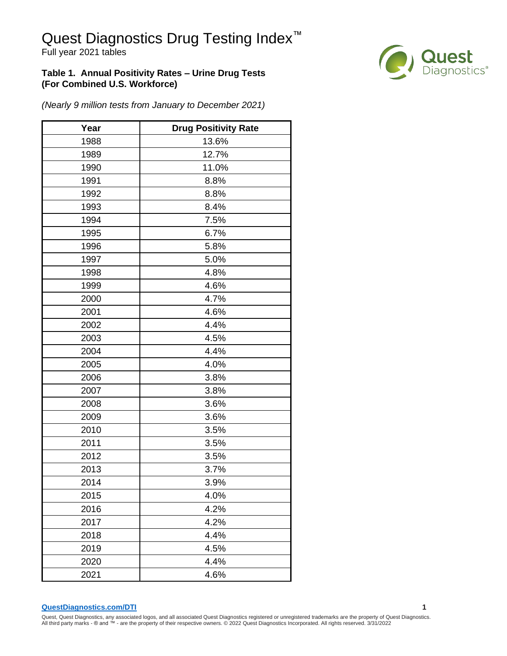# Quest Diagnostics Drug Testing Index<sup>™</sup>

Full year 2021 tables

#### **Table 1. Annual Positivity Rates – Urine Drug Tests (For Combined U.S. Workforce)**



*(Nearly 9 million tests from January to December 2021)*

| Year | <b>Drug Positivity Rate</b> |  |  |  |  |
|------|-----------------------------|--|--|--|--|
| 1988 | 13.6%                       |  |  |  |  |
| 1989 | 12.7%                       |  |  |  |  |
| 1990 | 11.0%                       |  |  |  |  |
| 1991 | 8.8%                        |  |  |  |  |
| 1992 | 8.8%                        |  |  |  |  |
| 1993 | 8.4%                        |  |  |  |  |
| 1994 | 7.5%                        |  |  |  |  |
| 1995 | 6.7%                        |  |  |  |  |
| 1996 | 5.8%                        |  |  |  |  |
| 1997 | 5.0%                        |  |  |  |  |
| 1998 | 4.8%                        |  |  |  |  |
| 1999 | 4.6%                        |  |  |  |  |
| 2000 | 4.7%                        |  |  |  |  |
| 2001 | 4.6%                        |  |  |  |  |
| 2002 | 4.4%                        |  |  |  |  |
| 2003 | 4.5%                        |  |  |  |  |
| 2004 | 4.4%                        |  |  |  |  |
| 2005 | 4.0%                        |  |  |  |  |
| 2006 | 3.8%                        |  |  |  |  |
| 2007 | 3.8%                        |  |  |  |  |
| 2008 | 3.6%                        |  |  |  |  |
| 2009 | 3.6%                        |  |  |  |  |
| 2010 | 3.5%                        |  |  |  |  |
| 2011 | 3.5%                        |  |  |  |  |
| 2012 | 3.5%                        |  |  |  |  |
| 2013 | 3.7%                        |  |  |  |  |
| 2014 | 3.9%                        |  |  |  |  |
| 2015 | 4.0%                        |  |  |  |  |
| 2016 | 4.2%                        |  |  |  |  |
| 2017 | 4.2%                        |  |  |  |  |
| 2018 | 4.4%                        |  |  |  |  |
| 2019 | 4.5%                        |  |  |  |  |
| 2020 | 4.4%                        |  |  |  |  |
| 2021 | 4.6%                        |  |  |  |  |

**[QuestDiagnostics.com/DTI](http://www.questdiagnostics.com/dti) 1**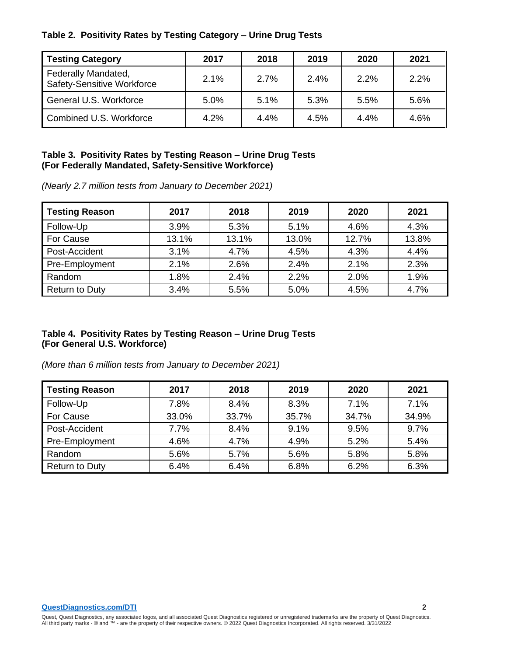|  |  |  | Table 2. Positivity Rates by Testing Category - Urine Drug Tests |
|--|--|--|------------------------------------------------------------------|
|  |  |  |                                                                  |

| <b>Testing Category</b>                                  | 2017 | 2018 | 2019 | 2020 | 2021 |
|----------------------------------------------------------|------|------|------|------|------|
| Federally Mandated,<br><b>Safety-Sensitive Workforce</b> | 2.1% | 2.7% | 2.4% | 2.2% | 2.2% |
| General U.S. Workforce                                   | 5.0% | 5.1% | 5.3% | 5.5% | 5.6% |
| Combined U.S. Workforce                                  | 4.2% | 4.4% | 4.5% | 4.4% | 4.6% |

#### **Table 3. Positivity Rates by Testing Reason – Urine Drug Tests (For Federally Mandated, Safety-Sensitive Workforce)**

*(Nearly 2.7 million tests from January to December 2021)*

| <b>Testing Reason</b> | 2017  | 2018  | 2019  | 2020  | 2021  |
|-----------------------|-------|-------|-------|-------|-------|
| Follow-Up             | 3.9%  | 5.3%  | 5.1%  | 4.6%  | 4.3%  |
| For Cause             | 13.1% | 13.1% | 13.0% | 12.7% | 13.8% |
| Post-Accident         | 3.1%  | 4.7%  | 4.5%  | 4.3%  | 4.4%  |
| Pre-Employment        | 2.1%  | 2.6%  | 2.4%  | 2.1%  | 2.3%  |
| Random                | 1.8%  | 2.4%  | 2.2%  | 2.0%  | 1.9%  |
| <b>Return to Duty</b> | 3.4%  | 5.5%  | 5.0%  | 4.5%  | 4.7%  |

#### **Table 4. Positivity Rates by Testing Reason – Urine Drug Tests (For General U.S. Workforce)**

| <b>Testing Reason</b> | 2017  | 2018  | 2019  | 2020  | 2021  |
|-----------------------|-------|-------|-------|-------|-------|
| Follow-Up             | 7.8%  | 8.4%  | 8.3%  | 7.1%  | 7.1%  |
| For Cause             | 33.0% | 33.7% | 35.7% | 34.7% | 34.9% |
| Post-Accident         | 7.7%  | 8.4%  | 9.1%  | 9.5%  | 9.7%  |
| Pre-Employment        | 4.6%  | 4.7%  | 4.9%  | 5.2%  | 5.4%  |
| Random                | 5.6%  | 5.7%  | 5.6%  | 5.8%  | 5.8%  |
| <b>Return to Duty</b> | 6.4%  | 6.4%  | 6.8%  | 6.2%  | 6.3%  |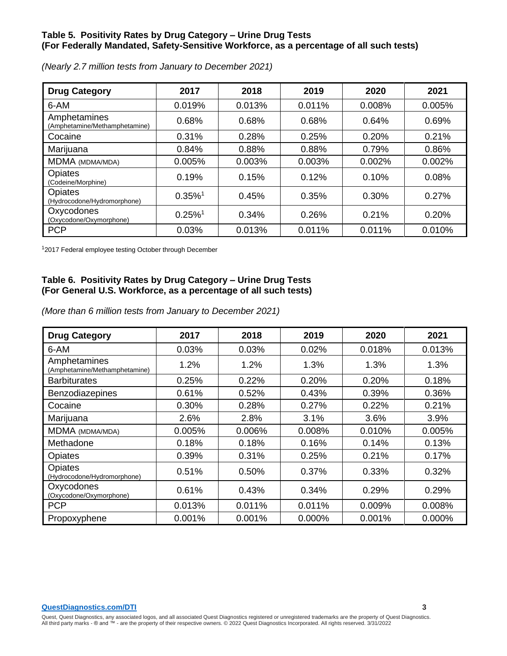#### **Table 5. Positivity Rates by Drug Category – Urine Drug Tests (For Federally Mandated, Safety-Sensitive Workforce, as a percentage of all such tests)**

| <b>Drug Category</b>                          | 2017                  | 2018   | 2019   | 2020   | 2021   |
|-----------------------------------------------|-----------------------|--------|--------|--------|--------|
| 6-AM                                          | 0.019%                | 0.013% | 0.011% | 0.008% | 0.005% |
| Amphetamines<br>(Amphetamine/Methamphetamine) | 0.68%                 | 0.68%  | 0.68%  | 0.64%  | 0.69%  |
| Cocaine                                       | 0.31%                 | 0.28%  | 0.25%  | 0.20%  | 0.21%  |
| Marijuana                                     | 0.84%                 | 0.88%  | 0.88%  | 0.79%  | 0.86%  |
| MDMA (MDMA/MDA)                               | 0.005%                | 0.003% | 0.003% | 0.002% | 0.002% |
| Opiates<br>(Codeine/Morphine)                 | 0.19%                 | 0.15%  | 0.12%  | 0.10%  | 0.08%  |
| <b>Opiates</b><br>(Hydrocodone/Hydromorphone) | $0.35\%$ <sup>1</sup> | 0.45%  | 0.35%  | 0.30%  | 0.27%  |
| Oxycodones<br>(Oxycodone/Oxymorphone)         | $0.25\%$ <sup>1</sup> | 0.34%  | 0.26%  | 0.21%  | 0.20%  |
| <b>PCP</b>                                    | 0.03%                 | 0.013% | 0.011% | 0.011% | 0.010% |

*(Nearly 2.7 million tests from January to December 2021)*

<sup>1</sup>2017 Federal employee testing October through December

# **Table 6. Positivity Rates by Drug Category – Urine Drug Tests (For General U.S. Workforce, as a percentage of all such tests)**

| <b>Drug Category</b>                          | 2017   | 2018   | 2019   | 2020   | 2021   |
|-----------------------------------------------|--------|--------|--------|--------|--------|
| 6-AM                                          | 0.03%  | 0.03%  | 0.02%  | 0.018% | 0.013% |
| Amphetamines<br>(Amphetamine/Methamphetamine) | 1.2%   | 1.2%   | 1.3%   | 1.3%   | 1.3%   |
| <b>Barbiturates</b>                           | 0.25%  | 0.22%  | 0.20%  | 0.20%  | 0.18%  |
| Benzodiazepines                               | 0.61%  | 0.52%  | 0.43%  | 0.39%  | 0.36%  |
| Cocaine                                       | 0.30%  | 0.28%  | 0.27%  | 0.22%  | 0.21%  |
| Marijuana                                     | 2.6%   | 2.8%   | 3.1%   | 3.6%   | 3.9%   |
| MDMA (MDMA/MDA)                               | 0.005% | 0.006% | 0.008% | 0.010% | 0.005% |
| Methadone                                     | 0.18%  | 0.18%  | 0.16%  | 0.14%  | 0.13%  |
| Opiates                                       | 0.39%  | 0.31%  | 0.25%  | 0.21%  | 0.17%  |
| Opiates<br>(Hydrocodone/Hydromorphone)        | 0.51%  | 0.50%  | 0.37%  | 0.33%  | 0.32%  |
| Oxycodones<br>(Oxycodone/Oxymorphone)         | 0.61%  | 0.43%  | 0.34%  | 0.29%  | 0.29%  |
| <b>PCP</b>                                    | 0.013% | 0.011% | 0.011% | 0.009% | 0.008% |
| Propoxyphene                                  | 0.001% | 0.001% | 0.000% | 0.001% | 0.000% |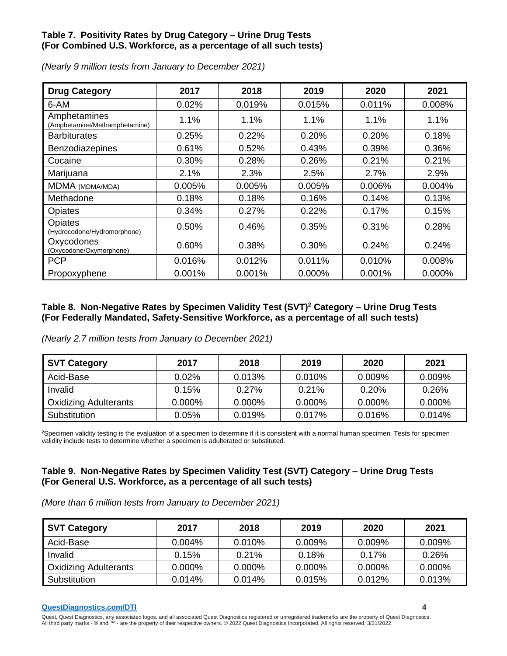# **Table 7. Positivity Rates by Drug Category – Urine Drug Tests (For Combined U.S. Workforce, as a percentage of all such tests)**

| <b>Drug Category</b>                          | 2017   | 2018   | 2019   | 2020   | 2021   |
|-----------------------------------------------|--------|--------|--------|--------|--------|
| 6-AM                                          | 0.02%  | 0.019% | 0.015% | 0.011% | 0.008% |
| Amphetamines<br>(Amphetamine/Methamphetamine) | 1.1%   | 1.1%   | 1.1%   | 1.1%   | 1.1%   |
| <b>Barbiturates</b>                           | 0.25%  | 0.22%  | 0.20%  | 0.20%  | 0.18%  |
| <b>Benzodiazepines</b>                        | 0.61%  | 0.52%  | 0.43%  | 0.39%  | 0.36%  |
| Cocaine                                       | 0.30%  | 0.28%  | 0.26%  | 0.21%  | 0.21%  |
| Marijuana                                     | 2.1%   | 2.3%   | 2.5%   | 2.7%   | 2.9%   |
| MDMA (MDMA/MDA)                               | 0.005% | 0.005% | 0.005% | 0.006% | 0.004% |
| Methadone                                     | 0.18%  | 0.18%  | 0.16%  | 0.14%  | 0.13%  |
| Opiates                                       | 0.34%  | 0.27%  | 0.22%  | 0.17%  | 0.15%  |
| Opiates<br>(Hydrocodone/Hydromorphone)        | 0.50%  | 0.46%  | 0.35%  | 0.31%  | 0.28%  |
| Oxycodones<br>(Oxycodone/Oxymorphone)         | 0.60%  | 0.38%  | 0.30%  | 0.24%  | 0.24%  |
| <b>PCP</b>                                    | 0.016% | 0.012% | 0.011% | 0.010% | 0.008% |
| Propoxyphene                                  | 0.001% | 0.001% | 0.000% | 0.001% | 0.000% |

*(Nearly 9 million tests from January to December 2021)*

#### **Table 8. Non-Negative Rates by Specimen Validity Test (SVT)<sup>2</sup> Category – Urine Drug Tests (For Federally Mandated, Safety-Sensitive Workforce, as a percentage of all such tests)**

*(Nearly 2.7 million tests from January to December 2021)*

| <b>SVT Category</b>          | 2017      | 2018   | 2019      | 2020      | 2021      |
|------------------------------|-----------|--------|-----------|-----------|-----------|
| Acid-Base                    | $0.02\%$  | 0.013% | 0.010%    | 0.009%    | $0.009\%$ |
| Invalid                      | 0.15%     | 0.27%  | 0.21%     | 0.20%     | 0.26%     |
| <b>Oxidizing Adulterants</b> | $0.000\%$ | 0.000% | $0.000\%$ | $0.000\%$ | $0.000\%$ |
| Substitution                 | $0.05\%$  | 0.019% | $0.017\%$ | $0.016\%$ | 0.014%    |

**<sup>2</sup>**Specimen validity testing is the evaluation of a specimen to determine if it is consistent with a normal human specimen. Tests for specimen validity include tests to determine whether a specimen is adulterated or substituted.

#### **Table 9. Non-Negative Rates by Specimen Validity Test (SVT) Category – Urine Drug Tests (For General U.S. Workforce, as a percentage of all such tests)**

*(More than 6 million tests from January to December 2021)*

| SVT Category                 | 2017      | 2018      | 2019      | 2020      | 2021      |
|------------------------------|-----------|-----------|-----------|-----------|-----------|
| Acid-Base                    | $0.004\%$ | $0.010\%$ | $0.009\%$ | $0.009\%$ | $0.009\%$ |
| Invalid                      | 0.15%     | 0.21%     | 0.18%     | 0.17%     | $0.26\%$  |
| <b>Oxidizing Adulterants</b> | 0.000%    | 0.000%    | $0.000\%$ | 0.000%    | 0.000%    |
| Substitution                 | 0.014%    | 0.014%    | 0.015%    | 0.012%    | 0.013%    |

**[QuestDiagnostics.com/DTI](http://www.questdiagnostics.com/dti) 4**

Quest, Quest Diagnostics, any associated logos, and all associated Quest Diagnostics registered or unregistered trademarks are the property of Quest Diagnostics. All third party marks - ® and ™ - are the property of their respective owners. © 2022 Quest Diagnostics Incorporated. All rights reserved. 3/31/2022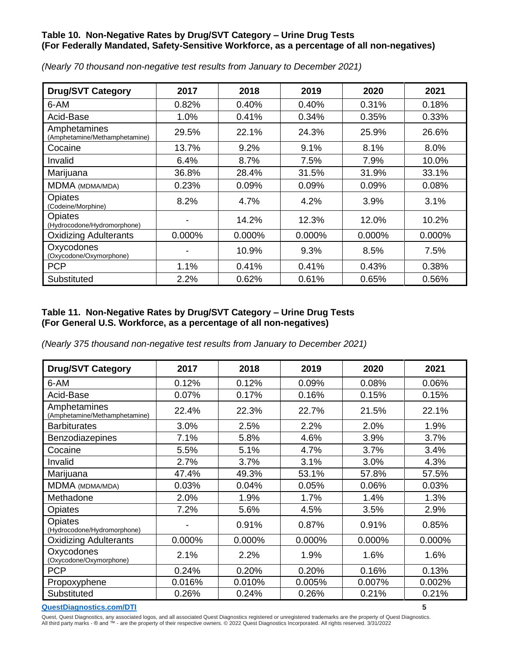# **Table 10. Non-Negative Rates by Drug/SVT Category – Urine Drug Tests (For Federally Mandated, Safety-Sensitive Workforce, as a percentage of all non-negatives)**

| <b>Drug/SVT Category</b>                      | 2017   | 2018      | 2019      | 2020      | 2021      |
|-----------------------------------------------|--------|-----------|-----------|-----------|-----------|
| 6-AM                                          | 0.82%  | 0.40%     | 0.40%     | 0.31%     | 0.18%     |
| Acid-Base                                     | 1.0%   | 0.41%     | 0.34%     | 0.35%     | 0.33%     |
| Amphetamines<br>(Amphetamine/Methamphetamine) | 29.5%  | 22.1%     | 24.3%     | 25.9%     | 26.6%     |
| Cocaine                                       | 13.7%  | 9.2%      | 9.1%      | 8.1%      | 8.0%      |
| Invalid                                       | 6.4%   | 8.7%      | 7.5%      | 7.9%      | 10.0%     |
| Marijuana                                     | 36.8%  | 28.4%     | 31.5%     | 31.9%     | 33.1%     |
| MDMA (MDMA/MDA)                               | 0.23%  | 0.09%     | 0.09%     | 0.09%     | 0.08%     |
| Opiates<br>(Codeine/Morphine)                 | 8.2%   | 4.7%      | 4.2%      | 3.9%      | 3.1%      |
| <b>Opiates</b><br>(Hydrocodone/Hydromorphone) |        | 14.2%     | 12.3%     | 12.0%     | 10.2%     |
| <b>Oxidizing Adulterants</b>                  | 0.000% | $0.000\%$ | $0.000\%$ | $0.000\%$ | $0.000\%$ |
| Oxycodones<br>(Oxycodone/Oxymorphone)         | -      | 10.9%     | 9.3%      | 8.5%      | 7.5%      |
| <b>PCP</b>                                    | 1.1%   | 0.41%     | 0.41%     | 0.43%     | 0.38%     |
| Substituted                                   | 2.2%   | 0.62%     | 0.61%     | 0.65%     | 0.56%     |

*(Nearly 70 thousand non-negative test results from January to December 2021)*

# **Table 11. Non-Negative Rates by Drug/SVT Category – Urine Drug Tests (For General U.S. Workforce, as a percentage of all non-negatives)**

*(Nearly 375 thousand non-negative test results from January to December 2021)*

| <b>Drug/SVT Category</b>                      | 2017   | 2018   | 2019   | 2020   | 2021   |
|-----------------------------------------------|--------|--------|--------|--------|--------|
| 6-AM                                          | 0.12%  | 0.12%  | 0.09%  | 0.08%  | 0.06%  |
| Acid-Base                                     | 0.07%  | 0.17%  | 0.16%  | 0.15%  | 0.15%  |
| Amphetamines<br>(Amphetamine/Methamphetamine) | 22.4%  | 22.3%  | 22.7%  | 21.5%  | 22.1%  |
| <b>Barbiturates</b>                           | 3.0%   | 2.5%   | 2.2%   | 2.0%   | 1.9%   |
| Benzodiazepines                               | 7.1%   | 5.8%   | 4.6%   | 3.9%   | 3.7%   |
| Cocaine                                       | 5.5%   | 5.1%   | 4.7%   | 3.7%   | 3.4%   |
| Invalid                                       | 2.7%   | 3.7%   | 3.1%   | 3.0%   | 4.3%   |
| Marijuana                                     | 47.4%  | 49.3%  | 53.1%  | 57.8%  | 57.5%  |
| MDMA (MDMA/MDA)                               | 0.03%  | 0.04%  | 0.05%  | 0.06%  | 0.03%  |
| Methadone                                     | 2.0%   | 1.9%   | 1.7%   | 1.4%   | 1.3%   |
| Opiates                                       | 7.2%   | 5.6%   | 4.5%   | 3.5%   | 2.9%   |
| Opiates<br>(Hydrocodone/Hydromorphone)        |        | 0.91%  | 0.87%  | 0.91%  | 0.85%  |
| <b>Oxidizing Adulterants</b>                  | 0.000% | 0.000% | 0.000% | 0.000% | 0.000% |
| Oxycodones<br>(Oxycodone/Oxymorphone)         | 2.1%   | 2.2%   | 1.9%   | 1.6%   | 1.6%   |
| <b>PCP</b>                                    | 0.24%  | 0.20%  | 0.20%  | 0.16%  | 0.13%  |
| Propoxyphene                                  | 0.016% | 0.010% | 0.005% | 0.007% | 0.002% |
| Substituted                                   | 0.26%  | 0.24%  | 0.26%  | 0.21%  | 0.21%  |

#### **[QuestDiagnostics.com/DTI](http://www.questdiagnostics.com/dti) 5**

Quest, Quest Diagnostics, any associated logos, and all associated Quest Diagnostics registered or unregistered trademarks are the property of Quest Diagnostics.<br>All third party marks - ® and ™ - are the property of their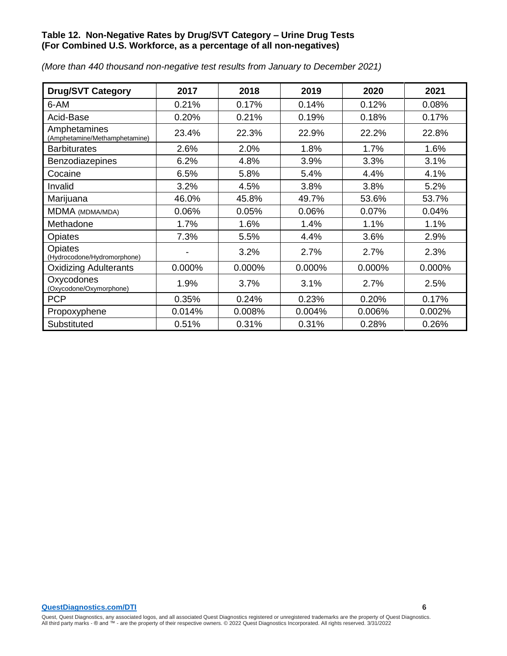# **Table 12. Non-Negative Rates by Drug/SVT Category – Urine Drug Tests (For Combined U.S. Workforce, as a percentage of all non-negatives)**

| <b>Drug/SVT Category</b>                      | 2017   | 2018   | 2019   | 2020   | 2021   |
|-----------------------------------------------|--------|--------|--------|--------|--------|
| 6-AM                                          | 0.21%  | 0.17%  | 0.14%  | 0.12%  | 0.08%  |
| Acid-Base                                     | 0.20%  | 0.21%  | 0.19%  | 0.18%  | 0.17%  |
| Amphetamines<br>(Amphetamine/Methamphetamine) | 23.4%  | 22.3%  | 22.9%  | 22.2%  | 22.8%  |
| <b>Barbiturates</b>                           | 2.6%   | 2.0%   | 1.8%   | 1.7%   | 1.6%   |
| Benzodiazepines                               | 6.2%   | 4.8%   | 3.9%   | 3.3%   | 3.1%   |
| Cocaine                                       | 6.5%   | 5.8%   | 5.4%   | 4.4%   | 4.1%   |
| Invalid                                       | 3.2%   | 4.5%   | 3.8%   | 3.8%   | 5.2%   |
| Marijuana                                     | 46.0%  | 45.8%  | 49.7%  | 53.6%  | 53.7%  |
| MDMA (MDMA/MDA)                               | 0.06%  | 0.05%  | 0.06%  | 0.07%  | 0.04%  |
| Methadone                                     | 1.7%   | 1.6%   | 1.4%   | 1.1%   | 1.1%   |
| Opiates                                       | 7.3%   | 5.5%   | 4.4%   | 3.6%   | 2.9%   |
| Opiates<br>(Hydrocodone/Hydromorphone)        |        | 3.2%   | 2.7%   | 2.7%   | 2.3%   |
| <b>Oxidizing Adulterants</b>                  | 0.000% | 0.000% | 0.000% | 0.000% | 0.000% |
| Oxycodones<br>(Oxycodone/Oxymorphone)         | 1.9%   | 3.7%   | 3.1%   | 2.7%   | 2.5%   |
| <b>PCP</b>                                    | 0.35%  | 0.24%  | 0.23%  | 0.20%  | 0.17%  |
| Propoxyphene                                  | 0.014% | 0.008% | 0.004% | 0.006% | 0.002% |
| Substituted                                   | 0.51%  | 0.31%  | 0.31%  | 0.28%  | 0.26%  |

*(More than 440 thousand non-negative test results from January to December 2021)*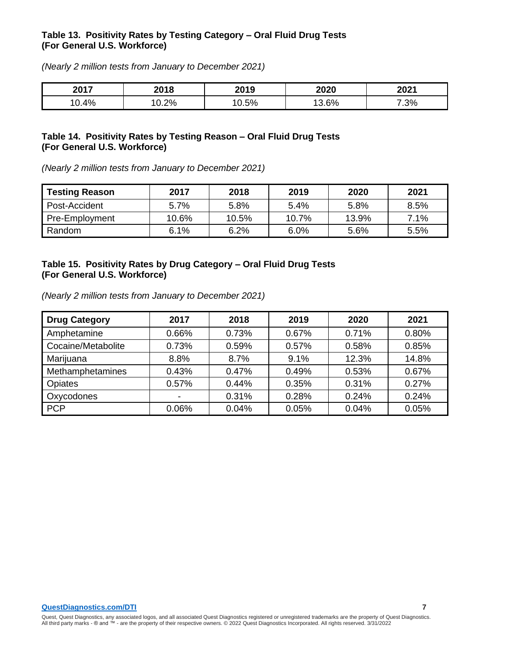#### **Table 13. Positivity Rates by Testing Category – Oral Fluid Drug Tests (For General U.S. Workforce)**

*(Nearly 2 million tests from January to December 2021)*

| 2017 | nn o<br>∠∪ I O | 2019 | 2020 | 2021 |
|------|----------------|------|------|------|
| 0.4% | 0.2%           | 0.5% | 3.6% | 7.3% |

#### **Table 14. Positivity Rates by Testing Reason – Oral Fluid Drug Tests (For General U.S. Workforce)**

*(Nearly 2 million tests from January to December 2021)*

| <b>Testing Reason</b> | 2017    | 2018  | 2019    | 2020  | 2021 |
|-----------------------|---------|-------|---------|-------|------|
| <b>Post-Accident</b>  | 5.7%    | 5.8%  | $5.4\%$ | 5.8%  | 8.5% |
| Pre-Employment        | 10.6%   | 10.5% | 10.7%   | 13.9% | 7.1% |
| Random                | $6.1\%$ | 6.2%  | $6.0\%$ | 5.6%  | 5.5% |

#### **Table 15. Positivity Rates by Drug Category – Oral Fluid Drug Tests (For General U.S. Workforce)**

*(Nearly 2 million tests from January to December 2021)*

| <b>Drug Category</b> | 2017  | 2018  | 2019  | 2020  | 2021  |
|----------------------|-------|-------|-------|-------|-------|
| Amphetamine          | 0.66% | 0.73% | 0.67% | 0.71% | 0.80% |
| Cocaine/Metabolite   | 0.73% | 0.59% | 0.57% | 0.58% | 0.85% |
| Marijuana            | 8.8%  | 8.7%  | 9.1%  | 12.3% | 14.8% |
| Methamphetamines     | 0.43% | 0.47% | 0.49% | 0.53% | 0.67% |
| <b>Opiates</b>       | 0.57% | 0.44% | 0.35% | 0.31% | 0.27% |
| Oxycodones           |       | 0.31% | 0.28% | 0.24% | 0.24% |
| <b>PCP</b>           | 0.06% | 0.04% | 0.05% | 0.04% | 0.05% |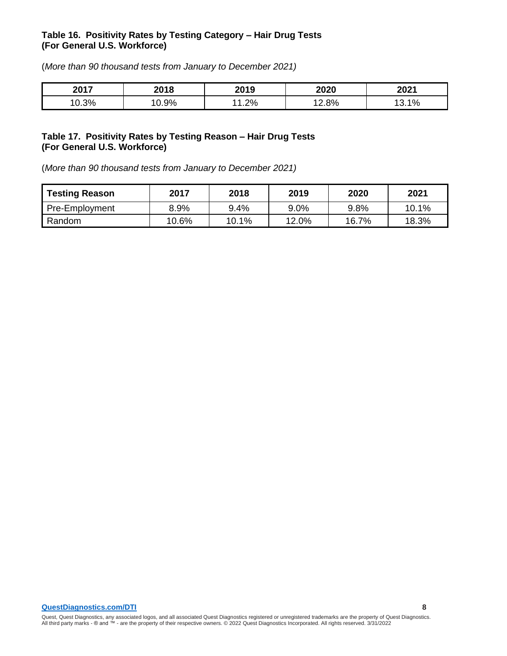#### **Table 16. Positivity Rates by Testing Category – Hair Drug Tests (For General U.S. Workforce)**

(*More than 90 thousand tests from January to December 2021)*

| 2017        | 2018    | 2010<br>ZUIJ | 2020 | 2021      |
|-------------|---------|--------------|------|-----------|
| 0.3%<br>. റ | $0.9\%$ | וסר<br>1.270 | 2.8% | 40/<br>70 |

#### **Table 17. Positivity Rates by Testing Reason – Hair Drug Tests (For General U.S. Workforce)**

(*More than 90 thousand tests from January to December 2021)*

| <b>Testing Reason</b> | 2017  | 2018    | 2019  | 2020  | 2021  |
|-----------------------|-------|---------|-------|-------|-------|
| Pre-Employment        | 8.9%  | $9.4\%$ | 9.0%  | 9.8%  | 10.1% |
| Random                | 10.6% | 10.1%   | 12.0% | 16.7% | 18.3% |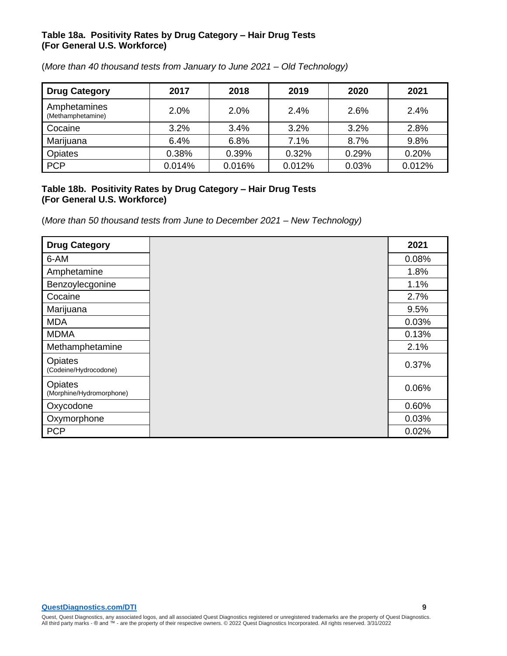#### **Table 18a. Positivity Rates by Drug Category – Hair Drug Tests (For General U.S. Workforce)**

| <b>Drug Category</b>              | 2017   | 2018   | 2019   | 2020  | 2021   |
|-----------------------------------|--------|--------|--------|-------|--------|
| Amphetamines<br>(Methamphetamine) | 2.0%   | 2.0%   | 2.4%   | 2.6%  | 2.4%   |
| Cocaine                           | 3.2%   | 3.4%   | 3.2%   | 3.2%  | 2.8%   |
| Marijuana                         | 6.4%   | 6.8%   | 7.1%   | 8.7%  | 9.8%   |
| Opiates                           | 0.38%  | 0.39%  | 0.32%  | 0.29% | 0.20%  |
| PCP                               | 0.014% | 0.016% | 0.012% | 0.03% | 0.012% |

(*More than 40 thousand tests from January to June 2021 – Old Technology)*

#### **Table 18b. Positivity Rates by Drug Category – Hair Drug Tests (For General U.S. Workforce)**

(*More than 50 thousand tests from June to December 2021 – New Technology)*

| <b>Drug Category</b>                | 2021  |
|-------------------------------------|-------|
| 6-AM                                | 0.08% |
| Amphetamine                         | 1.8%  |
| Benzoylecgonine                     | 1.1%  |
| Cocaine                             | 2.7%  |
| Marijuana                           | 9.5%  |
| <b>MDA</b>                          | 0.03% |
| <b>MDMA</b>                         | 0.13% |
| Methamphetamine                     | 2.1%  |
| Opiates<br>(Codeine/Hydrocodone)    | 0.37% |
| Opiates<br>(Morphine/Hydromorphone) | 0.06% |
| Oxycodone                           | 0.60% |
| Oxymorphone                         | 0.03% |
| <b>PCP</b>                          | 0.02% |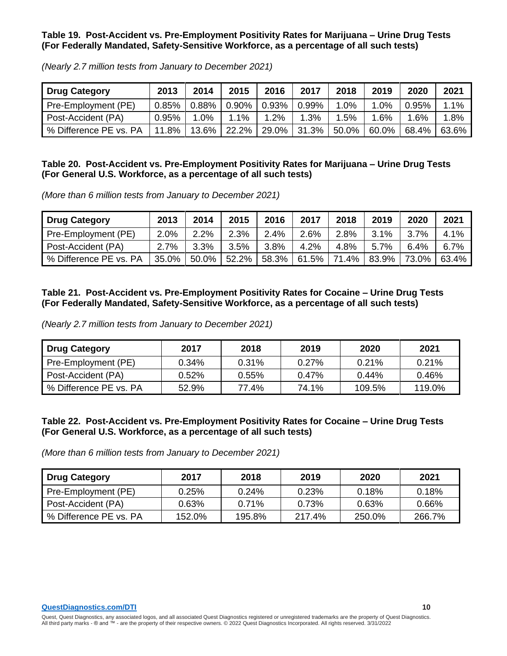#### **Table 19. Post-Accident vs. Pre-Employment Positivity Rates for Marijuana – Urine Drug Tests (For Federally Mandated, Safety-Sensitive Workforce, as a percentage of all such tests)**

| <b>Drug Category</b>                                                   | 2013  | 2014 | 2015                                     | 2016 | 2017 | 2018 | 2019     | 2020     | 2021  |
|------------------------------------------------------------------------|-------|------|------------------------------------------|------|------|------|----------|----------|-------|
| Pre-Employment (PE)                                                    |       |      | $0.85\%$   0.88%   0.90%   0.93%   0.99% |      |      | 1.0% | 1.0%     | 0.95%    | 1.1%  |
| Post-Accident (PA)                                                     | 0.95% | 1.0% | $1.1\%$                                  | 1.2% | 1.3% | 1.5% | 1.6%     | $1.6\%$  | 1.8%  |
| % Difference PE vs. PA   11.8%   13.6%   22.2%   29.0%   31.3%   50.0% |       |      |                                          |      |      |      | $60.0\%$ | $68.4\%$ | 63.6% |

*(Nearly 2.7 million tests from January to December 2021)*

# **Table 20. Post-Accident vs. Pre-Employment Positivity Rates for Marijuana – Urine Drug Tests (For General U.S. Workforce, as a percentage of all such tests)**

*(More than 6 million tests from January to December 2021)*

| <b>Drug Category</b>   | 2013  | 2014  | 2015  | 2016  | 2017  | 2018  | 2019    | 2020  | 2021  |
|------------------------|-------|-------|-------|-------|-------|-------|---------|-------|-------|
| Pre-Employment (PE)    | 2.0%  | 2.2%  | 2.3%  | 2.4%  | 2.6%  | 2.8%  | $3.1\%$ | 3.7%  | 4.1%  |
| Post-Accident (PA)     | 2.7%  | 3.3%  | 3.5%  | 3.8%  | 4.2%  | 4.8%  | 5.7%    | 6.4%  | 6.7%  |
| % Difference PE vs. PA | 35.0% | 50.0% | 52.2% | 58.3% | 61.5% | 71.4% | 83.9%   | 73.0% | 63.4% |

# **Table 21. Post-Accident vs. Pre-Employment Positivity Rates for Cocaine – Urine Drug Tests (For Federally Mandated, Safety-Sensitive Workforce, as a percentage of all such tests)**

*(Nearly 2.7 million tests from January to December 2021)*

| <b>Drug Category</b>   | 2017  | 2018     | 2019     | 2020     | 2021   |
|------------------------|-------|----------|----------|----------|--------|
| Pre-Employment (PE)    | 0.34% | 0.31%    | $0.27\%$ | $0.21\%$ | 0.21%  |
| Post-Accident (PA)     | 0.52% | $0.55\%$ | $0.47\%$ | $0.44\%$ | 0.46%  |
| % Difference PE vs. PA | 52.9% | 77.4%    | 74.1%    | 109.5%   | 119.0% |

#### **Table 22. Post-Accident vs. Pre-Employment Positivity Rates for Cocaine – Urine Drug Tests (For General U.S. Workforce, as a percentage of all such tests)**

| <b>Drug Category</b>   | 2017   | 2018     | 2019   | 2020   | 2021   |
|------------------------|--------|----------|--------|--------|--------|
| Pre-Employment (PE)    | 0.25%  | $0.24\%$ | 0.23%  | 0.18%  | 0.18%  |
| Post-Accident (PA)     | 0.63%  | 0.71%    | 0.73%  | 0.63%  | 0.66%  |
| % Difference PE vs. PA | 152.0% | 195.8%   | 217.4% | 250.0% | 266.7% |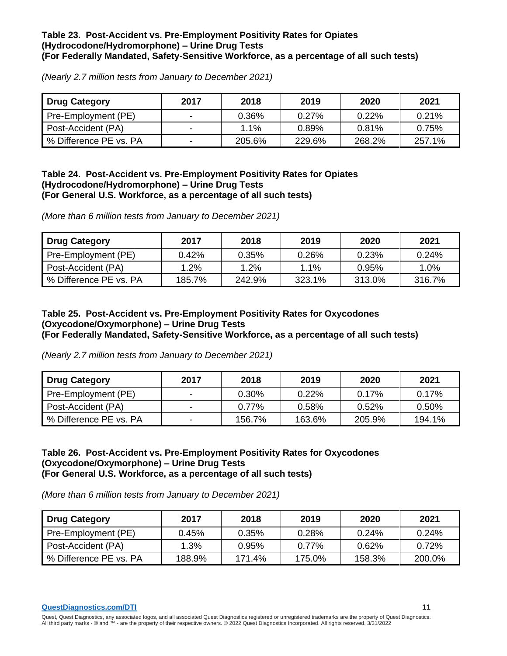#### **Table 23. Post-Accident vs. Pre-Employment Positivity Rates for Opiates (Hydrocodone/Hydromorphone) – Urine Drug Tests (For Federally Mandated, Safety-Sensitive Workforce, as a percentage of all such tests)**

*(Nearly 2.7 million tests from January to December 2021)*

| <b>Drug Category</b>   | 2017 | 2018    | 2019   | 2020     | 2021   |
|------------------------|------|---------|--------|----------|--------|
| Pre-Employment (PE)    |      | 0.36%   | 0.27%  | $0.22\%$ | 0.21%  |
| Post-Accident (PA)     | -    | $1.1\%$ | 0.89%  | 0.81%    | 0.75%  |
| % Difference PE vs. PA | -    | 205.6%  | 229.6% | 268.2%   | 257.1% |

#### **Table 24. Post-Accident vs. Pre-Employment Positivity Rates for Opiates (Hydrocodone/Hydromorphone) – Urine Drug Tests (For General U.S. Workforce, as a percentage of all such tests)**

*(More than 6 million tests from January to December 2021)*

| <b>Drug Category</b>   | 2017   | 2018   | 2019   | 2020   | 2021   |
|------------------------|--------|--------|--------|--------|--------|
| Pre-Employment (PE)    | 0.42%  | 0.35%  | 0.26%  | 0.23%  | 0.24%  |
| Post-Accident (PA)     | 1.2%   | 1.2%   | 1.1%   | 0.95%  | 1.0%   |
| % Difference PE vs. PA | 185.7% | 242.9% | 323.1% | 313.0% | 316.7% |

#### **Table 25. Post-Accident vs. Pre-Employment Positivity Rates for Oxycodones (Oxycodone/Oxymorphone) – Urine Drug Tests (For Federally Mandated, Safety-Sensitive Workforce, as a percentage of all such tests)**

*(Nearly 2.7 million tests from January to December 2021)*

| <b>Drug Category</b>   | 2017                     | 2018     | 2019   | 2020     | 2021   |
|------------------------|--------------------------|----------|--------|----------|--------|
| Pre-Employment (PE)    |                          | 0.30%    | 0.22%  | 0.17%    | 0.17%  |
| Post-Accident (PA)     | $\overline{\phantom{a}}$ | $0.77\%$ | 0.58%  | $0.52\%$ | 0.50%  |
| % Difference PE vs. PA | $\overline{\phantom{0}}$ | 156.7%   | 163.6% | 205.9%   | 194.1% |

#### **Table 26. Post-Accident vs. Pre-Employment Positivity Rates for Oxycodones (Oxycodone/Oxymorphone) – Urine Drug Tests (For General U.S. Workforce, as a percentage of all such tests)**

*(More than 6 million tests from January to December 2021)*

| <b>Drug Category</b>   | 2017   | 2018   | 2019     | 2020   | 2021     |
|------------------------|--------|--------|----------|--------|----------|
| Pre-Employment (PE)    | 0.45%  | 0.35%  | 0.28%    | 0.24%  | $0.24\%$ |
| Post-Accident (PA)     | 1.3%   | 0.95%  | $0.77\%$ | 0.62%  | 0.72%    |
| % Difference PE vs. PA | 188.9% | 171.4% | 175.0%   | 158.3% | 200.0%   |

**[QuestDiagnostics.com/DTI](http://www.questdiagnostics.com/dti) 11**